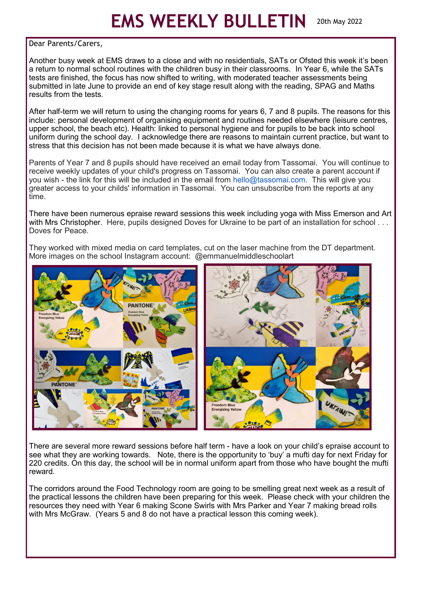## **EMS WEEKLY BULLETIN** 20th May 2022

## Dear Parents/Carers,

Another busy week at EMS draws to a close and with no residentials, SATs or Ofsted this week it's been a return to normal school routines with the children busy in their classrooms. In Year 6, while the SATs tests are finished, the focus has now shifted to writing, with moderated teacher assessments being submitted in late June to provide an end of key stage result along with the reading, SPAG and Maths results from the tests.

After half-term we will return to using the changing rooms for years 6, 7 and 8 pupils. The reasons for this include: personal development of organising equipment and routines needed elsewhere (leisure centres, upper school, the beach etc). Health: linked to personal hygiene and for pupils to be back into school uniform during the school day. I acknowledge there are reasons to maintain current practice, but want to stress that this decision has not been made because it is what we have always done.

Parents of Year 7 and 8 pupils should have received an email today from Tassomai. You will continue to receive weekly updates of your child's progress on Tassomai. You can also create a parent account if you wish - the link for this will be included in the email from hello@tassomai.com. This will give you greater access to your childs' information in Tassomai. You can unsubscribe from the reports at any time.

There have been numerous epraise reward sessions this week including yoga with Miss Emerson and Art with Mrs Christopher. Here, pupils designed Doves for Ukraine to be part of an installation for school ... Doves for Peace.

They worked with mixed media on card templates, cut on the laser machine from the DT department. More images on the school Instagram account: @emmanuelmiddleschoolart



There are several more reward sessions before half term - have a look on your child's epraise account to see what they are working towards. Note, there is the opportunity to 'buy' a mufti day for next Friday for 220 credits. On this day, the school will be in normal uniform apart from those who have bought the mufti reward.

The corridors around the Food Technology room are going to be smelling great next week as a result of the practical lessons the children have been preparing for this week. Please check with your children the resources they need with Year 6 making Scone Swirls with Mrs Parker and Year 7 making bread rolls with Mrs McGraw. (Years 5 and 8 do not have a practical lesson this coming week).